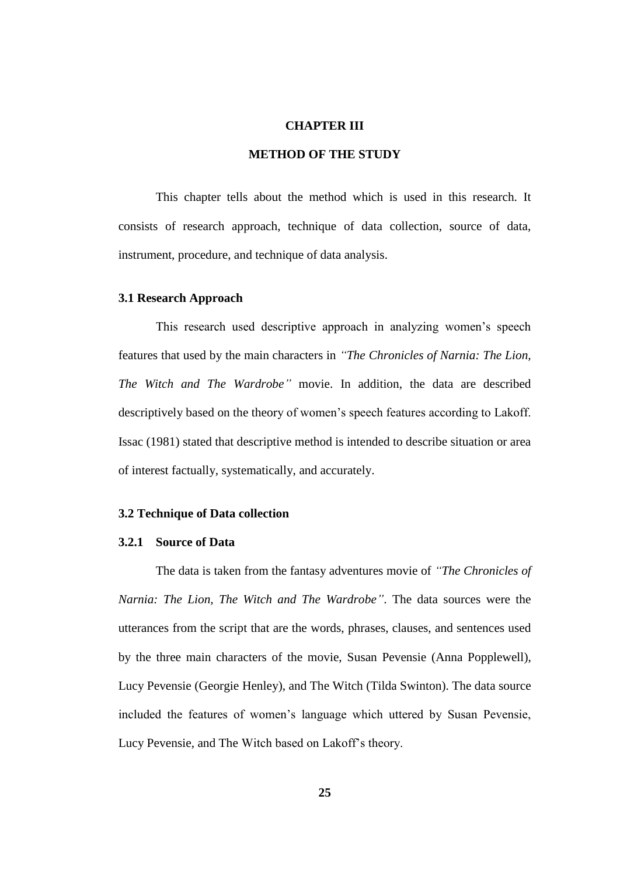#### **CHAPTER III**

# **METHOD OF THE STUDY**

This chapter tells about the method which is used in this research. It consists of research approach, technique of data collection, source of data, instrument, procedure, and technique of data analysis.

### **3.1 Research Approach**

This research used descriptive approach in analyzing women's speech features that used by the main characters in *"The Chronicles of Narnia: The Lion, The Witch and The Wardrobe"* movie. In addition, the data are described descriptively based on the theory of women's speech features according to Lakoff. Issac (1981) stated that descriptive method is intended to describe situation or area of interest factually, systematically, and accurately.

### **3.2 Technique of Data collection**

# **3.2.1 Source of Data**

The data is taken from the fantasy adventures movie of *"The Chronicles of Narnia: The Lion, The Witch and The Wardrobe"*. The data sources were the utterances from the script that are the words, phrases, clauses, and sentences used by the three main characters of the movie, Susan Pevensie [\(Anna Popplewell\)](http://en.wikipedia.org/wiki/Anna_Popplewell), Lucy Pevensie [\(Georgie Henley\)](http://en.wikipedia.org/wiki/Georgie_Henley), and The Witch [\(Tilda Swinton\)](http://en.wikipedia.org/wiki/Tilda_Swinton). The data source included the features of women's language which uttered by Susan Pevensie, Lucy Pevensie, and The Witch based on Lakoff's theory.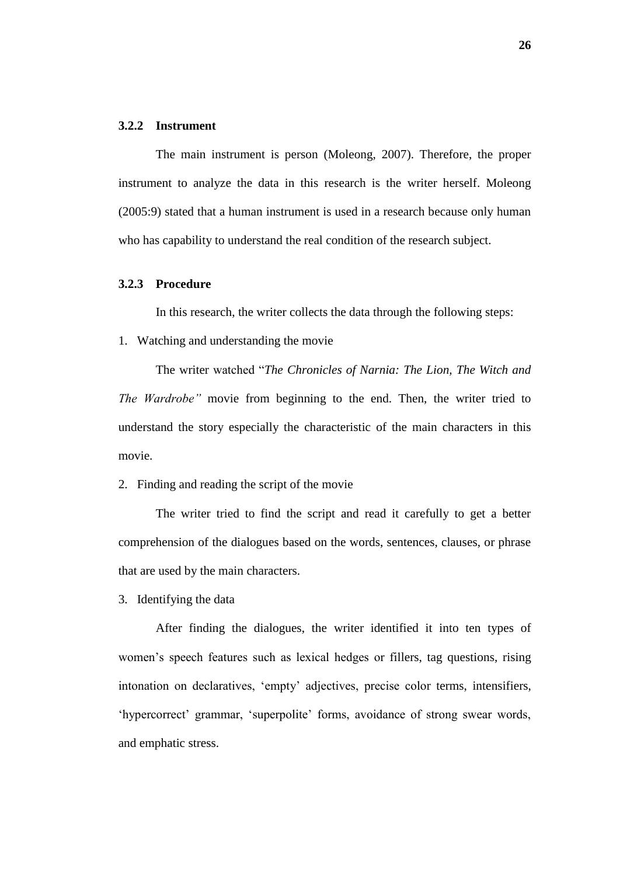#### **3.2.2 Instrument**

The main instrument is person (Moleong, 2007). Therefore, the proper instrument to analyze the data in this research is the writer herself. Moleong (2005:9) stated that a human instrument is used in a research because only human who has capability to understand the real condition of the research subject.

## **3.2.3 Procedure**

In this research, the writer collects the data through the following steps:

1. Watching and understanding the movie

The writer watched "*The Chronicles of Narnia: The Lion, The Witch and The Wardrobe"* movie from beginning to the end. Then, the writer tried to understand the story especially the characteristic of the main characters in this movie.

2. Finding and reading the script of the movie

The writer tried to find the script and read it carefully to get a better comprehension of the dialogues based on the words, sentences, clauses, or phrase that are used by the main characters.

3. Identifying the data

After finding the dialogues, the writer identified it into ten types of women's speech features such as lexical hedges or fillers, tag questions, rising intonation on declaratives, 'empty' adjectives, precise color terms, intensifiers, 'hypercorrect' grammar, 'superpolite' forms, avoidance of strong swear words, and emphatic stress.